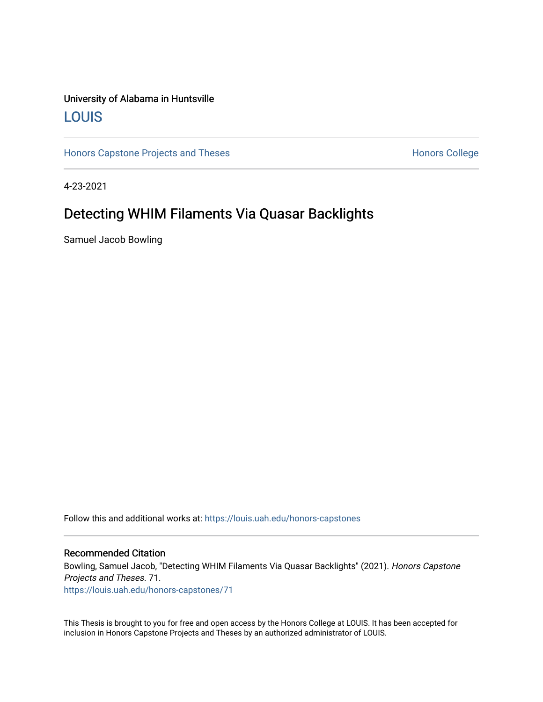## University of Alabama in Huntsville [LOUIS](https://louis.uah.edu/)

[Honors Capstone Projects and Theses](https://louis.uah.edu/honors-capstones) **Honors College** Honors College

4-23-2021

## Detecting WHIM Filaments Via Quasar Backlights

Samuel Jacob Bowling

Follow this and additional works at: [https://louis.uah.edu/honors-capstones](https://louis.uah.edu/honors-capstones?utm_source=louis.uah.edu%2Fhonors-capstones%2F71&utm_medium=PDF&utm_campaign=PDFCoverPages) 

#### Recommended Citation

Bowling, Samuel Jacob, "Detecting WHIM Filaments Via Quasar Backlights" (2021). Honors Capstone Projects and Theses. 71.

[https://louis.uah.edu/honors-capstones/71](https://louis.uah.edu/honors-capstones/71?utm_source=louis.uah.edu%2Fhonors-capstones%2F71&utm_medium=PDF&utm_campaign=PDFCoverPages)

This Thesis is brought to you for free and open access by the Honors College at LOUIS. It has been accepted for inclusion in Honors Capstone Projects and Theses by an authorized administrator of LOUIS.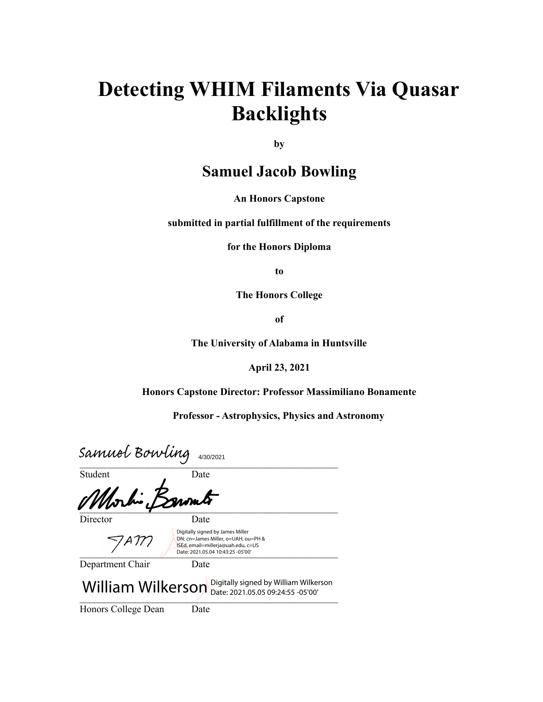# **Detecting WHIM Filaments Via Quasar Backlights**

**by**

## **Samuel Jacob Bowling**

**An Honors Capstone**

**submitted in partial fulfillment of the requirements**

**for the Honors Diploma**

**to**

**The Honors College**

**of**

**The University of Alabama in Huntsville**

**April 23, 2021**

**Honors Capstone Director: Professor Massimiliano Bonamente**

**Professor - Astrophysics, Physics and Astronomy**

| Samuel Bowling<br>Student | 4/30/2021<br>Date                                                                                                                                  |                                                                            |
|---------------------------|----------------------------------------------------------------------------------------------------------------------------------------------------|----------------------------------------------------------------------------|
| Director                  | Morbi Bannet<br>Date                                                                                                                               |                                                                            |
|                           | Digitally signed by James Miller<br>DN: cn=James Miller, o=UAH, ou=PH &<br>ISEd, email=millerja@uah.edu, c=US<br>Date: 2021.05.04 10:43:25 -05'00' |                                                                            |
| Department Chair          | Date                                                                                                                                               |                                                                            |
|                           | <b>William Wilkerson</b>                                                                                                                           | Digitally signed by William Wilkerson<br>Date: 2021.05.05 09:24:55 -05'00' |

Honors College Dean Date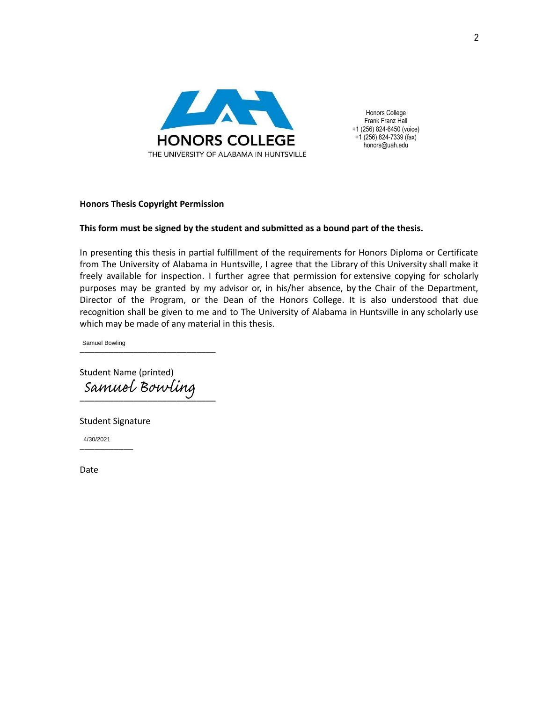

Honors College Frank Franz Hall +1 (256) 824-6450 (voice) +1 (256) 824-7339 (fax) honors@uah.edu

#### **Honors Thesis Copyright Permission**

#### **This form must be signed by the student and submitted as a bound part of the thesis.**

In presenting this thesis in partial fulfillment of the requirements for Honors Diploma or Certificate from The University of Alabama in Huntsville, I agree that the Library of this University shall make it freely available for inspection. I further agree that permission for extensive copying for scholarly purposes may be granted by my advisor or, in his/her absence, by the Chair of the Department, Director of the Program, or the Dean of the Honors College. It is also understood that due recognition shall be given to me and to The University of Alabama in Huntsville in any scholarly use which may be made of any material in this thesis.

\_\_\_\_\_\_\_\_\_\_\_\_\_\_\_\_\_\_\_\_\_\_\_\_\_\_\_\_ Samuel Bowling

Student Name (printed) samuel Bowling

Student Signature

 $\overline{\phantom{a}}$  . The contract of  $\overline{\phantom{a}}$ 4/30/2021

Date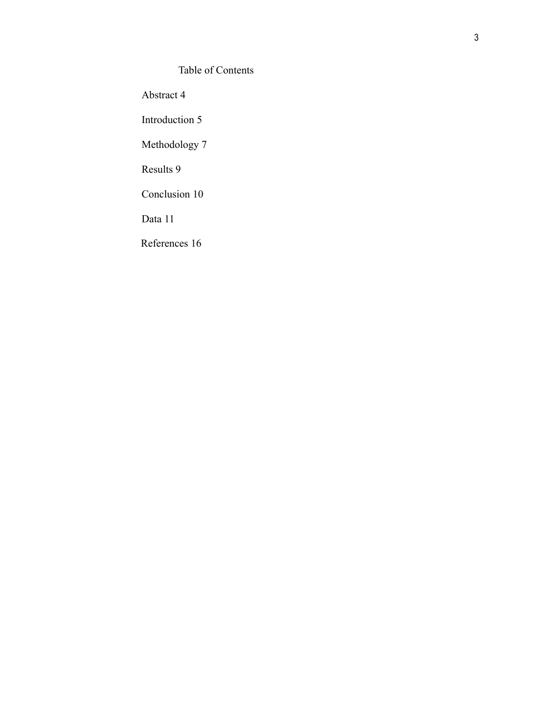### Table of Contents

Abstract 4

Introduction 5

Methodology 7

Results 9

Conclusion 10

Data 11

References 16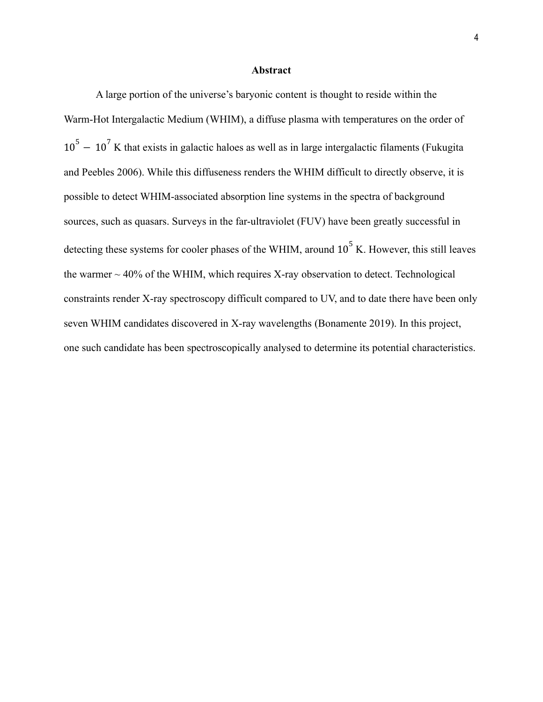#### **Abstract**

A large portion of the universe's baryonic content is thought to reside within the Warm-Hot Intergalactic Medium (WHIM), a diffuse plasma with temperatures on the order of  $10<sup>5</sup> - 10<sup>7</sup>$  K that exists in galactic haloes as well as in large intergalactic filaments (Fukugita and Peebles 2006). While this diffuseness renders the WHIM difficult to directly observe, it is possible to detect WHIM-associated absorption line systems in the spectra of background sources, such as quasars. Surveys in the far-ultraviolet (FUV) have been greatly successful in detecting these systems for cooler phases of the WHIM, around  $10<sup>5</sup>$  K. However, this still leaves the warmer  $\sim$  40% of the WHIM, which requires X-ray observation to detect. Technological constraints render X-ray spectroscopy difficult compared to UV, and to date there have been only seven WHIM candidates discovered in X-ray wavelengths (Bonamente 2019). In this project, one such candidate has been spectroscopically analysed to determine its potential characteristics.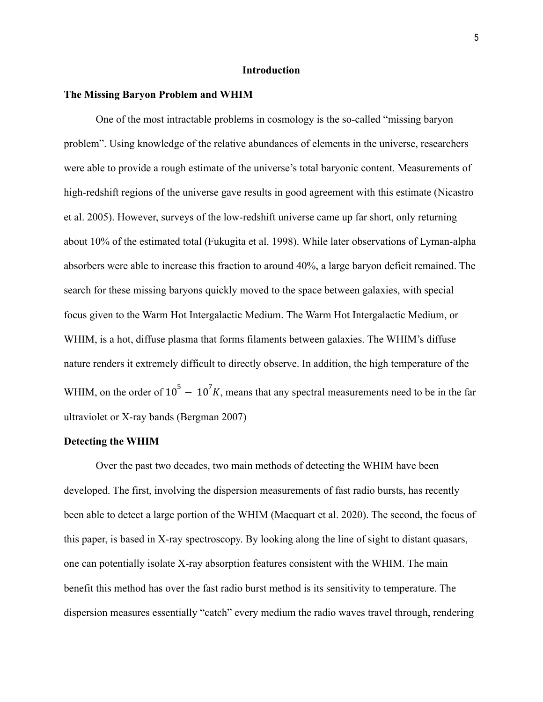#### **Introduction**

#### **The Missing Baryon Problem and WHIM**

One of the most intractable problems in cosmology is the so-called "missing baryon problem". Using knowledge of the relative abundances of elements in the universe, researchers were able to provide a rough estimate of the universe's total baryonic content. Measurements of high-redshift regions of the universe gave results in good agreement with this estimate (Nicastro et al. 2005). However, surveys of the low-redshift universe came up far short, only returning about 10% of the estimated total (Fukugita et al. 1998). While later observations of Lyman-alpha absorbers were able to increase this fraction to around 40%, a large baryon deficit remained. The search for these missing baryons quickly moved to the space between galaxies, with special focus given to the Warm Hot Intergalactic Medium. The Warm Hot Intergalactic Medium, or WHIM, is a hot, diffuse plasma that forms filaments between galaxies. The WHIM's diffuse nature renders it extremely difficult to directly observe. In addition, the high temperature of the WHIM, on the order of  $10^5 - 10^7 K$ , means that any spectral measurements need to be in the far ultraviolet or X-ray bands (Bergman 2007)

#### **Detecting the WHIM**

Over the past two decades, two main methods of detecting the WHIM have been developed. The first, involving the dispersion measurements of fast radio bursts, has recently been able to detect a large portion of the WHIM (Macquart et al. 2020). The second, the focus of this paper, is based in X-ray spectroscopy. By looking along the line of sight to distant quasars, one can potentially isolate X-ray absorption features consistent with the WHIM. The main benefit this method has over the fast radio burst method is its sensitivity to temperature. The dispersion measures essentially "catch" every medium the radio waves travel through, rendering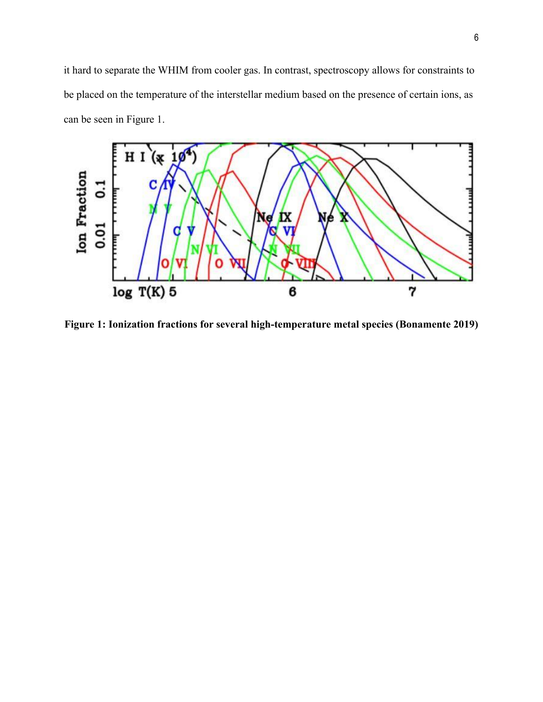it hard to separate the WHIM from cooler gas. In contrast, spectroscopy allows for constraints to be placed on the temperature of the interstellar medium based on the presence of certain ions, as can be seen in Figure 1.



**Figure 1: Ionization fractions for several high-temperature metal species (Bonamente 2019)**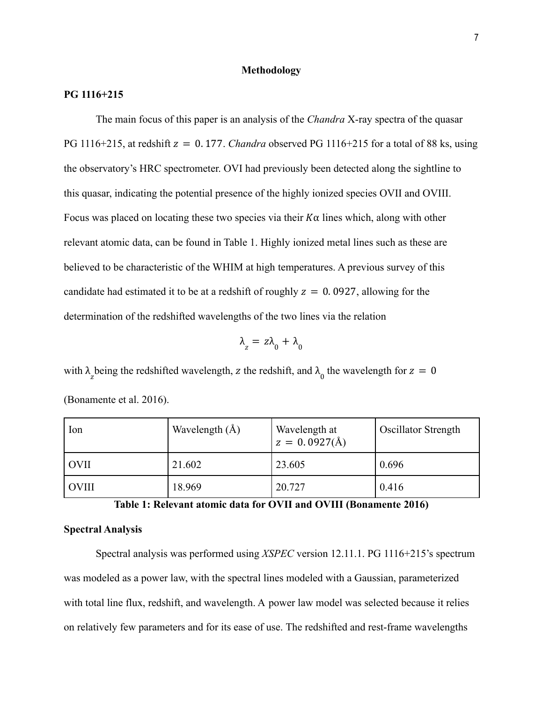#### **Methodology**

#### **PG 1116+215**

The main focus of this paper is an analysis of the *Chandra* X-ray spectra of the quasar PG 1116+215, at redshift  $z = 0.177$ . *Chandra* observed PG 1116+215 for a total of 88 ks, using the observatory's HRC spectrometer. OVI had previously been detected along the sightline to this quasar, indicating the potential presence of the highly ionized species OVII and OVIII. Focus was placed on locating these two species via their  $K\alpha$  lines which, along with other relevant atomic data, can be found in Table 1. Highly ionized metal lines such as these are believed to be characteristic of the WHIM at high temperatures. A previous survey of this candidate had estimated it to be at a redshift of roughly  $z = 0.0927$ , allowing for the determination of the redshifted wavelengths of the two lines via the relation

$$
\lambda_z = z\lambda_0 + \lambda_0
$$

with  $\lambda_z$  being the redshifted wavelength, z the redshift, and  $\lambda_0$  the wavelength for  $z = 0$ (Bonamente et al. 2016).

| Ion         | Wavelength $(A)$ | Wavelength at<br>$z = 0.0927(\text{\AA})$ | <b>Oscillator Strength</b> |
|-------------|------------------|-------------------------------------------|----------------------------|
| <b>OVII</b> | 21.602           | 23.605                                    | 0.696                      |
| OVIII       | 18.969           | 20.727                                    | 0.416                      |

**Table 1: Relevant atomic data for OVII and OVIII (Bonamente 2016)**

#### **Spectral Analysis**

Spectral analysis was performed using *XSPEC* version 12.11.1. PG 1116+215's spectrum was modeled as a power law, with the spectral lines modeled with a Gaussian, parameterized with total line flux, redshift, and wavelength. A power law model was selected because it relies on relatively few parameters and for its ease of use. The redshifted and rest-frame wavelengths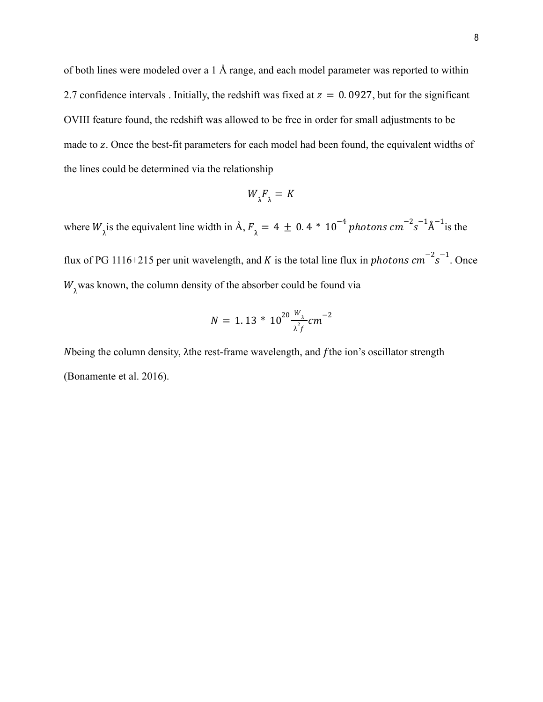of both lines were modeled over a 1 Å range, and each model parameter was reported to within 2.7 confidence intervals . Initially, the redshift was fixed at  $z = 0.0927$ , but for the significant OVIII feature found, the redshift was allowed to be free in order for small adjustments to be made to z. Once the best-fit parameters for each model had been found, the equivalent widths of the lines could be determined via the relationship

$$
W_{\lambda}F_{\lambda} = K
$$

where  $W_{\lambda}$  is the equivalent line width in Å,  $F_{\lambda} = 4 \pm 0.4 * 10^{-4}$  photons  $cm^{-2}s^{-1}\text{\AA}^{-1}$  is the flux of PG 1116+215 per unit wavelength, and K is the total line flux in *photons*  $cm^{-2}s^{-1}$ . Once  $W_{\lambda}$  was known, the column density of the absorber could be found via

$$
N = 1.13 * 10^{20} \frac{W_{\lambda}}{\lambda_f^2} cm^{-2}
$$

 $N$ being the column density,  $\lambda$ the rest-frame wavelength, and  $f$ the ion's oscillator strength (Bonamente et al. 2016).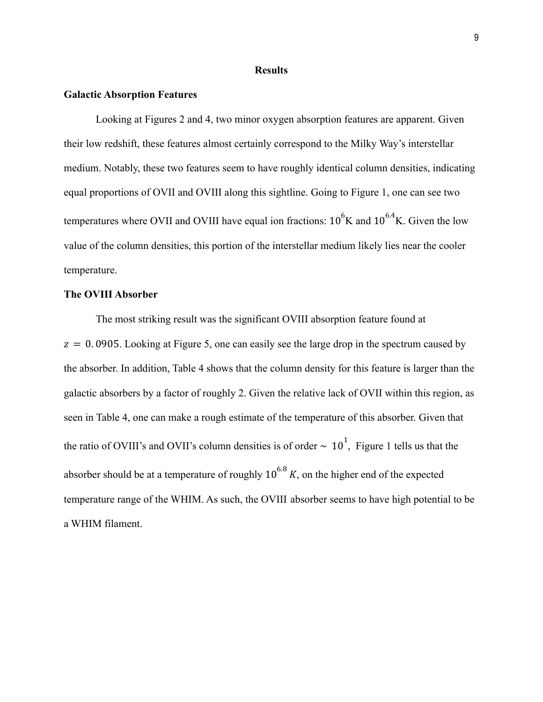#### **Results**

#### **Galactic Absorption Features**

Looking at Figures 2 and 4, two minor oxygen absorption features are apparent. Given their low redshift, these features almost certainly correspond to the Milky Way's interstellar medium. Notably, these two features seem to have roughly identical column densities, indicating equal proportions of OVII and OVIII along this sightline. Going to Figure 1, one can see two temperatures where OVII and OVIII have equal ion fractions:  $10^6$ K and  $10^{6.4}$ K. Given the low value of the column densities, this portion of the interstellar medium likely lies near the cooler temperature.

#### **The OVIII Absorber**

The most striking result was the significant OVIII absorption feature found at  $z = 0.0905$ . Looking at Figure 5, one can easily see the large drop in the spectrum caused by the absorber. In addition, Table 4 shows that the column density for this feature is larger than the galactic absorbers by a factor of roughly 2. Given the relative lack of OVII within this region, as seen in Table 4, one can make a rough estimate of the temperature of this absorber. Given that the ratio of OVIII's and OVII's column densities is of order  $\sim 10^1$ , Figure 1 tells us that the absorber should be at a temperature of roughly  $10^{6.8} K$ , on the higher end of the expected temperature range of the WHIM. As such, the OVIII absorber seems to have high potential to be a WHIM filament.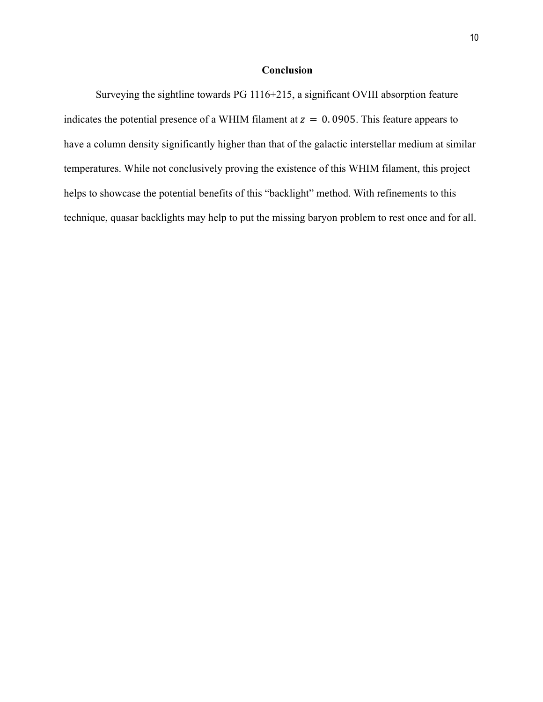#### **Conclusion**

Surveying the sightline towards PG 1116+215, a significant OVIII absorption feature indicates the potential presence of a WHIM filament at  $z = 0.0905$ . This feature appears to have a column density significantly higher than that of the galactic interstellar medium at similar temperatures. While not conclusively proving the existence of this WHIM filament, this project helps to showcase the potential benefits of this "backlight" method. With refinements to this technique, quasar backlights may help to put the missing baryon problem to rest once and for all.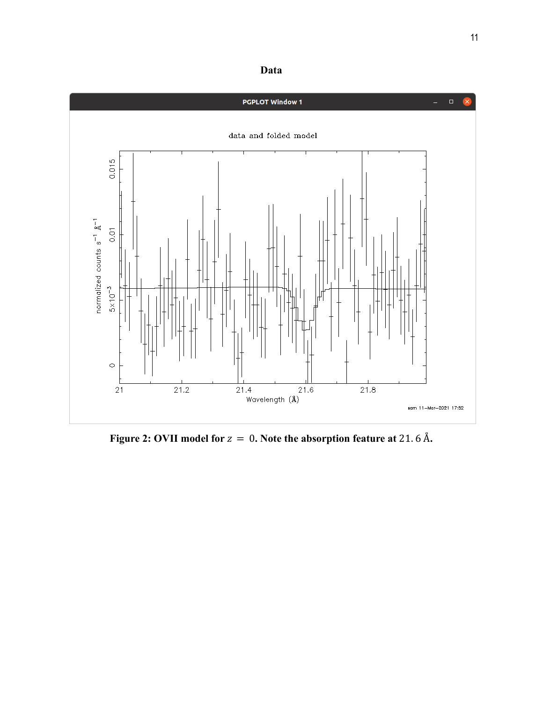**Data**



**Figure 2: OVII model for**  $z = 0$ . Note the absorption feature at 21.6 Å.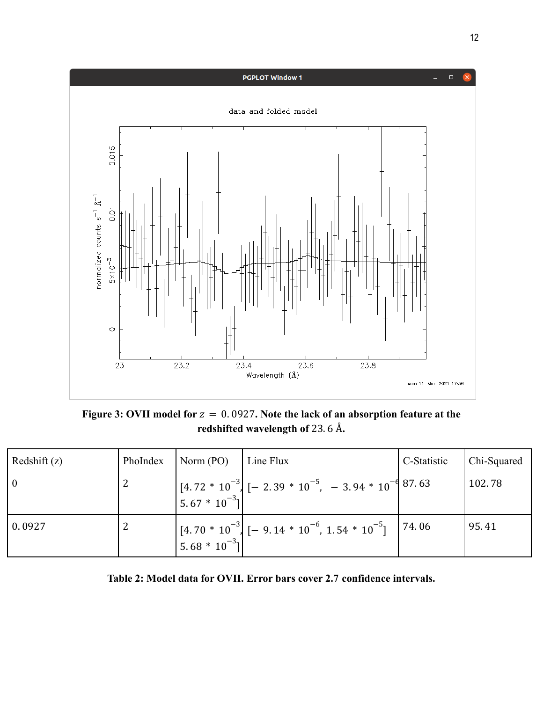

**Figure 3: OVII model for**  $z = 0.0927$ . Note the lack of an absorption feature at the **redshifted wavelength of** 23. 6 Å**.**

| Redshift $(z)$   | PhoIndex | Norm $(PO)$                   | Line Flux                                                                                                       | C-Statistic | Chi-Squared |
|------------------|----------|-------------------------------|-----------------------------------------------------------------------------------------------------------------|-------------|-------------|
| $\boldsymbol{0}$ |          | $5.67 * 10^{-3}$ ]            | $[4.72 * 10^{-3}]$ $[- 2.39 * 10^{-5}, -3.94 * 10^{-6}]$ 87.63                                                  |             | 102.78      |
| 0.0927           |          | $\left 5.68 * 10^{-3}\right $ | $\begin{bmatrix} 4.70 & 10^{-3} \end{bmatrix}$ [- 9.14 $*$ 10 <sup>-6</sup> , 1.54 $*$ 10 <sup>-5</sup> ] 74.06 |             | 95.41       |

**Table 2: Model data for OVII. Error bars cover 2.7 confidence intervals.**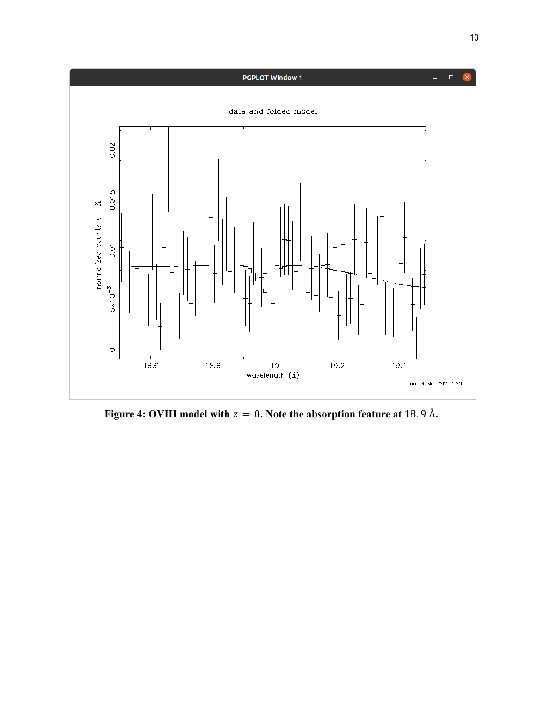

**Figure 4: OVIII model with**  $z = 0$ . Note the absorption feature at 18.9 Å.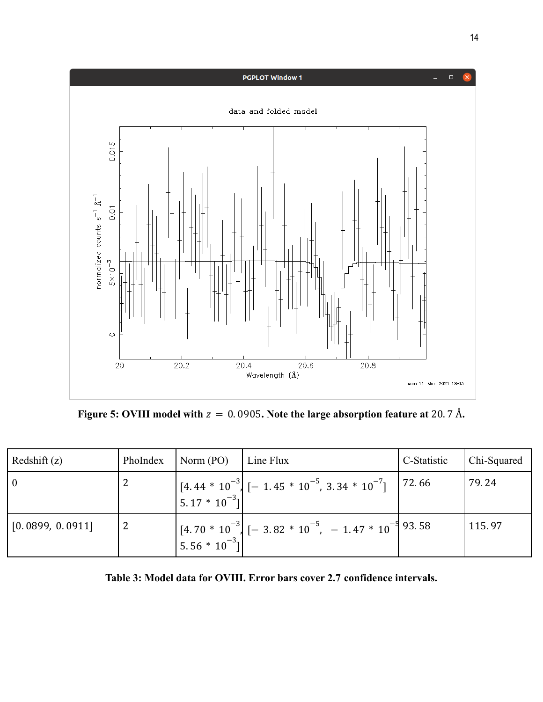

**Figure 5: OVIII model with**  $z = 0.0905$ . Note the large absorption feature at 20. 7 Å.

| Redshift $(z)$   | PhoIndex | Norm $(PO)$                   | Line Flux                                                                                                           | C-Statistic | Chi-Squared |
|------------------|----------|-------------------------------|---------------------------------------------------------------------------------------------------------------------|-------------|-------------|
| $\overline{0}$   |          | $\left 5.17 * 10^{-3}\right $ | $\left[4.44 * 10^{-3}\right] \left[-1.45 * 10^{-5}, 3.34 * 10^{-7}\right]$ 72.66                                    |             | 79.24       |
| [0.0899, 0.0911] |          | $\left[5.56 * 10^{-3}\right]$ | $\begin{bmatrix} 4.70 & 10^{-3} \end{bmatrix}$ [-3.82 $\ast$ 10 <sup>-5</sup> , -1.47 $\ast$ 10 <sup>-9</sup> 93.58 |             | 115.97      |

**Table 3: Model data for OVIII. Error bars cover 2.7 confidence intervals.**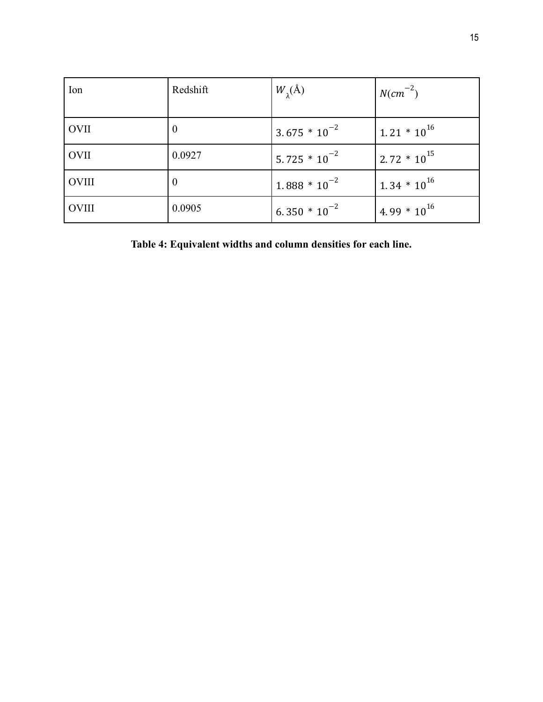| Ion          | Redshift | $W_{\lambda}(\AA)$                       | $N$ (cm <sup>-2</sup> ) |
|--------------|----------|------------------------------------------|-------------------------|
| <b>OVII</b>  | $\theta$ | $13.675 * 10^{-2}$                       | $1.21 * 10^{16}$        |
| <b>OVII</b>  | 0.0927   | $\frac{1}{2}$ 5.725 $*$ 10 <sup>-2</sup> | $2.72 * 10^{15}$        |
| OVIII        | $\theta$ | $1.888 * 10^{-2}$                        | $1.34 * 10^{16}$        |
| <b>OVIII</b> | 0.0905   | 6.350 $*10^{-2}$                         | 4.99 $* 10^{16}$        |

**Table 4: Equivalent widths and column densities for each line.**